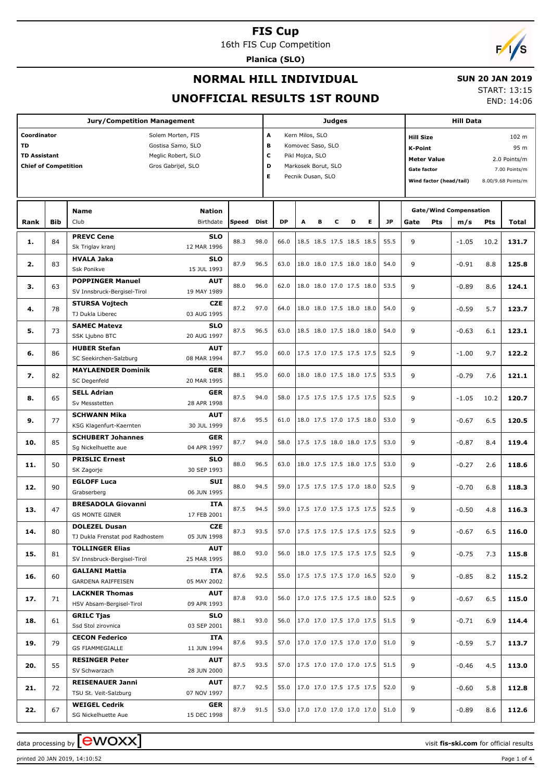16th FIS Cup Competition

**Planica (SLO)**



### **NORMAL HILL INDIVIDUAL**

#### **SUN 20 JAN 2019**

**UNOFFICIAL RESULTS 1ST ROUND**

START: 13:15 END: 14:06

|           |                                                                                                                                                         | <b>Jury/Competition Management</b>                                             |                                          |       |      |      | <b>Judges</b>                      |                                                               |   | <b>Hill Data</b>         |                                                                                                                                                                                   |                                              |         |            |       |
|-----------|---------------------------------------------------------------------------------------------------------------------------------------------------------|--------------------------------------------------------------------------------|------------------------------------------|-------|------|------|------------------------------------|---------------------------------------------------------------|---|--------------------------|-----------------------------------------------------------------------------------------------------------------------------------------------------------------------------------|----------------------------------------------|---------|------------|-------|
| <b>TD</b> | Coordinator<br>Solem Morten, FIS<br>Gostisa Samo, SLO<br><b>TD Assistant</b><br>Meglic Robert, SLO<br><b>Chief of Competition</b><br>Gros Gabrijel, SLO |                                                                                |                                          |       |      |      | Kern Milos, SLO<br>Pikl Mojca, SLO | Komovec Saso, SLO<br>Markosek Borut, SLO<br>Pecnik Dusan, SLO |   |                          | 102 m<br><b>Hill Size</b><br>95 m<br><b>K-Point</b><br><b>Meter Value</b><br>2.0 Points/m<br><b>Gate factor</b><br>7.00 Points/m<br>Wind factor (head/tail)<br>8.00/9.68 Points/m |                                              |         |            |       |
| Rank      | <b>Bib</b>                                                                                                                                              | <b>Name</b><br>Club                                                            | <b>Nation</b><br>Birthdate               | Speed | Dist | DP   | А                                  | в                                                             | c | D<br>Е                   | <b>JP</b>                                                                                                                                                                         | <b>Gate/Wind Compensation</b><br>Gate<br>Pts | m/s     | <b>Pts</b> | Total |
| 1.        | 84                                                                                                                                                      | <b>PREVC Cene</b>                                                              | <b>SLO</b>                               | 88.3  | 98.0 | 66.0 |                                    |                                                               |   | 18.5 18.5 17.5 18.5 18.5 | 55.5                                                                                                                                                                              | 9                                            | $-1.05$ | 10.2       | 131.7 |
| 2.        | 83                                                                                                                                                      | Sk Triglav kranj<br><b>HVALA Jaka</b><br><b>Ssk Ponikve</b>                    | 12 MAR 1996<br><b>SLO</b><br>15 JUL 1993 | 87.9  | 96.5 | 63.0 |                                    |                                                               |   | 18.0 18.0 17.5 18.0 18.0 | 54.0                                                                                                                                                                              | 9                                            | $-0.91$ | 8.8        | 125.8 |
| з.        | 63                                                                                                                                                      | <b>POPPINGER Manuel</b><br>SV Innsbruck-Bergisel-Tirol                         | <b>AUT</b><br>19 MAY 1989                | 88.0  | 96.0 | 62.0 |                                    |                                                               |   | 18.0 18.0 17.0 17.5 18.0 | 53.5                                                                                                                                                                              | 9                                            | $-0.89$ | 8.6        | 124.1 |
| 4.        | 78                                                                                                                                                      | <b>STURSA Vojtech</b><br>TJ Dukla Liberec                                      | <b>CZE</b><br>03 AUG 1995                | 87.2  | 97.0 | 64.0 |                                    |                                                               |   | 18.0 18.0 17.5 18.0 18.0 | 54.0                                                                                                                                                                              | 9                                            | $-0.59$ | 5.7        | 123.7 |
| 5.        | 73                                                                                                                                                      | <b>SAMEC Matevz</b><br>SSK Ljubno BTC                                          | <b>SLO</b><br>20 AUG 1997                | 87.5  | 96.5 | 63.0 |                                    |                                                               |   | 18.5 18.0 17.5 18.0 18.0 | 54.0                                                                                                                                                                              | 9                                            | $-0.63$ | 6.1        | 123.1 |
| 6.        | 86                                                                                                                                                      | <b>HUBER Stefan</b><br>SC Seekirchen-Salzburg                                  | <b>AUT</b><br>08 MAR 1994                | 87.7  | 95.0 | 60.0 |                                    |                                                               |   | 17.5 17.0 17.5 17.5 17.5 | 52.5                                                                                                                                                                              | 9                                            | $-1.00$ | 9.7        | 122.2 |
| 7.        | 82                                                                                                                                                      | <b>MAYLAENDER Dominik</b><br>SC Degenfeld                                      | <b>GER</b><br>20 MAR 1995                | 88.1  | 95.0 | 60.0 |                                    |                                                               |   | 18.0 18.0 17.5 18.0 17.5 | 53.5                                                                                                                                                                              | 9                                            | $-0.79$ | 7.6        | 121.1 |
| 8.        | 65                                                                                                                                                      | <b>SELL Adrian</b><br>Sv Messstetten                                           | <b>GER</b><br>28 APR 1998                | 87.5  | 94.0 | 58.0 |                                    |                                                               |   | 17.5 17.5 17.5 17.5 17.5 | 52.5                                                                                                                                                                              | 9                                            | $-1.05$ | 10.2       | 120.7 |
| 9.        | 77                                                                                                                                                      | <b>SCHWANN Mika</b><br>KSG Klagenfurt-Kaernten                                 | <b>AUT</b><br>30 JUL 1999                | 87.6  | 95.5 | 61.0 |                                    |                                                               |   | 18.0 17.5 17.0 17.5 18.0 | 53.0                                                                                                                                                                              | 9                                            | $-0.67$ | 6.5        | 120.5 |
| 10.       | 85                                                                                                                                                      | <b>SCHUBERT Johannes</b><br>Sq Nickelhuette aue                                | <b>GER</b><br>04 APR 1997                | 87.7  | 94.0 | 58.0 |                                    |                                                               |   | 17.5 17.5 18.0 18.0 17.5 | 53.0                                                                                                                                                                              | 9                                            | $-0.87$ | 8.4        | 119.4 |
| 11.       | 50                                                                                                                                                      | <b>PRISLIC Ernest</b><br>SK Zagorje                                            | <b>SLO</b><br>30 SEP 1993                | 88.0  | 96.5 | 63.0 |                                    |                                                               |   | 18.0 17.5 17.5 18.0 17.5 | 53.0                                                                                                                                                                              | 9                                            | $-0.27$ | 2.6        | 118.6 |
| 12.       | 90                                                                                                                                                      | <b>EGLOFF Luca</b><br>Grabserberg                                              | <b>SUI</b><br>06 JUN 1995                | 88.0  | 94.5 | 59.0 |                                    |                                                               |   | 17.5 17.5 17.5 17.0 18.0 | 52.5                                                                                                                                                                              | 9                                            | $-0.70$ | 6.8        | 118.3 |
| 13.       | 47                                                                                                                                                      | <b>BRESADOLA Giovanni</b><br><b>GS MONTE GINER</b>                             | <b>ITA</b><br>17 FEB 2001                | 87.5  | 94.5 | 59.0 |                                    |                                                               |   | 17.5 17.0 17.5 17.5 17.5 | 52.5                                                                                                                                                                              | 9                                            | $-0.50$ | 4.8        | 116.3 |
| 14.       | 80                                                                                                                                                      | <b>DOLEZEL Dusan</b><br>TJ Dukla Frenstat pod Radhostem                        | <b>CZE</b><br>05 JUN 1998                | 87.3  | 93.5 | 57.0 |                                    |                                                               |   | 17.5 17.5 17.5 17.5 17.5 | 52.5                                                                                                                                                                              | 9                                            | $-0.67$ | 6.5        | 116.0 |
| 15.       | 81                                                                                                                                                      | <b>TOLLINGER Elias</b><br>SV Innsbruck-Bergisel-Tirol<br><b>GALIANI Mattia</b> | AUT<br>25 MAR 1995<br>ITA                | 88.0  | 93.0 | 56.0 |                                    |                                                               |   | 18.0 17.5 17.5 17.5 17.5 | 52.5                                                                                                                                                                              | 9                                            | $-0.75$ | 7.3        | 115.8 |
| 16.       | 60                                                                                                                                                      | GARDENA RAIFFEISEN<br><b>LACKNER Thomas</b>                                    | 05 MAY 2002<br><b>AUT</b>                | 87.6  | 92.5 | 55.0 |                                    |                                                               |   | 17.5 17.5 17.5 17.0 16.5 | 52.0                                                                                                                                                                              | 9                                            | $-0.85$ | 8.2        | 115.2 |
| 17.       | 71                                                                                                                                                      | HSV Absam-Bergisel-Tirol<br><b>GRILC Tjas</b>                                  | 09 APR 1993<br><b>SLO</b>                | 87.8  | 93.0 | 56.0 |                                    |                                                               |   | 17.0 17.5 17.5 17.5 18.0 | 52.5                                                                                                                                                                              | 9                                            | $-0.67$ | 6.5        | 115.0 |
| 18.       | 61                                                                                                                                                      | Ssd Stol zirovnica<br><b>CECON Federico</b>                                    | 03 SEP 2001<br>ITA                       | 88.1  | 93.0 | 56.0 |                                    |                                                               |   | 17.0 17.0 17.5 17.0 17.5 | 51.5                                                                                                                                                                              | 9                                            | $-0.71$ | 6.9        | 114.4 |
| 19.       | 79                                                                                                                                                      | <b>GS FIAMMEGIALLE</b><br><b>RESINGER Peter</b>                                | 11 JUN 1994<br><b>AUT</b>                | 87.6  | 93.5 | 57.0 |                                    |                                                               |   | 17.0 17.0 17.5 17.0 17.0 | 51.0                                                                                                                                                                              | 9                                            | $-0.59$ | 5.7        | 113.7 |
| 20.       | 55                                                                                                                                                      | SV Schwarzach<br><b>REISENAUER Janni</b>                                       | 28 JUN 2000<br><b>AUT</b>                | 87.5  | 93.5 | 57.0 |                                    |                                                               |   | 17.5 17.0 17.0 17.0 17.5 | 51.5                                                                                                                                                                              | 9                                            | $-0.46$ | 4.5        | 113.0 |
| 21.       | 72                                                                                                                                                      | TSU St. Veit-Salzburg                                                          | 07 NOV 1997                              | 87.7  | 92.5 | 55.0 |                                    |                                                               |   | 17.0 17.0 17.5 17.5 17.5 | 52.0                                                                                                                                                                              | 9                                            | $-0.60$ | 5.8        | 112.8 |
| 22.       | 67                                                                                                                                                      | <b>WEIGEL Cedrik</b><br>SG Nickelhuette Aue                                    | <b>GER</b><br>15 DEC 1998                | 87.9  | 91.5 | 53.0 |                                    |                                                               |   | 17.0 17.0 17.0 17.0 17.0 | 51.0                                                                                                                                                                              | 9                                            | $-0.89$ | 8.6        | 112.6 |

data processing by **CWOXX** and  $\overline{C}$  and  $\overline{C}$  and  $\overline{C}$  and  $\overline{C}$  and  $\overline{C}$  and  $\overline{C}$  and  $\overline{C}$  and  $\overline{C}$  and  $\overline{C}$  and  $\overline{C}$  and  $\overline{C}$  and  $\overline{C}$  and  $\overline{C}$  and  $\overline{C}$  and  $\overline{C}$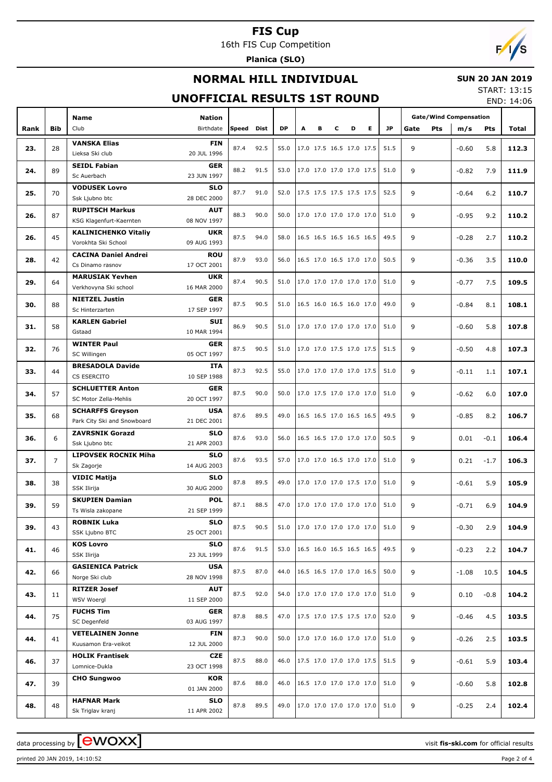16th FIS Cup Competition

**Planica (SLO)**

# $F/1/s$

## **NORMAL HILL INDIVIDUAL**

### **SUN 20 JAN 2019**

## **UNOFFICIAL RESULTS 1ST ROUND**

START: 13:15 END: 14:06

|      |                | <b>Name</b>                                    | <b>Nation</b>             |       |           |           |   |                          |   |   |   |      |                    | <b>Gate/Wind Compensation</b> |        |       |
|------|----------------|------------------------------------------------|---------------------------|-------|-----------|-----------|---|--------------------------|---|---|---|------|--------------------|-------------------------------|--------|-------|
| Rank | Bib            | Club                                           | Birthdate                 | Speed | Dist      | <b>DP</b> | A | в                        | c | D | Е | JP   | <b>Pts</b><br>Gate | m/s                           | Pts    | Total |
|      |                | <b>VANSKA Elias</b>                            | <b>FIN</b>                |       |           |           |   |                          |   |   |   |      |                    |                               |        |       |
| 23.  | 28             | Lieksa Ski club                                | 20 JUL 1996               | 87.4  | 92.5      | 55.0      |   | 17.0 17.5 16.5 17.0 17.5 |   |   |   | 51.5 | 9                  | $-0.60$                       | 5.8    | 112.3 |
|      |                | <b>SEIDL Fabian</b>                            | <b>GER</b>                |       |           |           |   |                          |   |   |   |      |                    |                               |        |       |
| 24.  | 89             | Sc Auerbach                                    | 23 JUN 1997               | 88.2  | 91.5      | 53.0      |   | 17.0 17.0 17.0 17.0 17.5 |   |   |   | 51.0 | 9                  | $-0.82$                       | 7.9    | 111.9 |
|      |                | <b>VODUSEK Lovro</b>                           | <b>SLO</b>                |       |           |           |   |                          |   |   |   |      |                    |                               |        |       |
| 25.  | 70             | Ssk Ljubno btc                                 | 28 DEC 2000               | 87.7  | 91.0      | 52.0      |   | 17.5 17.5 17.5 17.5 17.5 |   |   |   | 52.5 | 9                  | $-0.64$                       | 6.2    | 110.7 |
|      |                | <b>RUPITSCH Markus</b>                         | <b>AUT</b>                |       |           |           |   |                          |   |   |   |      |                    |                               |        |       |
| 26.  | 87             | KSG Klagenfurt-Kaernten                        | 08 NOV 1997               | 88.3  | 90.0      | 50.0      |   | 17.0 17.0 17.0 17.0 17.0 |   |   |   | 51.0 | 9                  | $-0.95$                       | 9.2    | 110.2 |
| 26.  | 45             | <b>KALINICHENKO Vitaliy</b>                    | <b>UKR</b>                | 87.5  | 94.0      | 58.0      |   | 16.5 16.5 16.5 16.5 16.5 |   |   |   | 49.5 | 9                  | $-0.28$                       | 2.7    | 110.2 |
|      |                | Vorokhta Ski School                            | 09 AUG 1993               |       |           |           |   |                          |   |   |   |      |                    |                               |        |       |
| 28.  | 42             | <b>CACINA Daniel Andrei</b>                    | <b>ROU</b>                | 87.9  | 93.0      | 56.0      |   | 16.5 17.0 16.5 17.0 17.0 |   |   |   | 50.5 | 9                  | $-0.36$                       | 3.5    | 110.0 |
|      |                | Cs Dinamo rasnov                               | 17 OCT 2001               |       |           |           |   |                          |   |   |   |      |                    |                               |        |       |
| 29.  | 64             | <b>MARUSIAK Yevhen</b>                         | <b>UKR</b>                | 87.4  | 90.5      | 51.0      |   | 17.0 17.0 17.0 17.0 17.0 |   |   |   | 51.0 | 9                  | $-0.77$                       | 7.5    | 109.5 |
|      |                | Verkhovyna Ski school                          | 16 MAR 2000               |       |           |           |   |                          |   |   |   |      |                    |                               |        |       |
| 30.  | 88             | <b>NIETZEL Justin</b>                          | <b>GER</b>                | 87.5  | 90.5      | 51.0      |   | 16.5 16.0 16.5 16.0 17.0 |   |   |   | 49.0 | 9                  | $-0.84$                       | 8.1    | 108.1 |
|      |                | Sc Hinterzarten                                | 17 SEP 1997               |       |           |           |   |                          |   |   |   |      |                    |                               |        |       |
| 31.  | 58             | <b>KARLEN Gabriel</b><br>Gstaad                | <b>SUI</b><br>10 MAR 1994 | 86.9  | 90.5      | 51.0      |   | 17.0 17.0 17.0 17.0 17.0 |   |   |   | 51.0 | 9                  | $-0.60$                       | 5.8    | 107.8 |
|      |                | <b>WINTER Paul</b>                             | <b>GER</b>                |       |           |           |   |                          |   |   |   |      |                    |                               |        |       |
| 32.  | 76             | SC Willingen                                   | 05 OCT 1997               | 87.5  | 90.5      | 51.0      |   | 17.0 17.0 17.5 17.0 17.5 |   |   |   | 51.5 | 9                  | $-0.50$                       | 4.8    | 107.3 |
|      |                | <b>BRESADOLA Davide</b>                        | <b>ITA</b>                |       |           |           |   |                          |   |   |   |      |                    |                               |        |       |
| 33.  | 44             | CS ESERCITO                                    | 10 SEP 1988               | 87.3  | 92.5      | 55.0      |   | 17.0 17.0 17.0 17.0 17.5 |   |   |   | 51.0 | 9                  | $-0.11$                       | 1.1    | 107.1 |
|      |                | <b>SCHLUETTER Anton</b>                        | <b>GER</b>                |       |           |           |   |                          |   |   |   |      |                    |                               |        |       |
| 34.  | 57             | SC Motor Zella-Mehlis                          | 20 OCT 1997               | 87.5  | 90.0      | 50.0      |   | 17.0 17.5 17.0 17.0 17.0 |   |   |   | 51.0 | 9                  | $-0.62$                       | 6.0    | 107.0 |
| 35.  | 68             | <b>SCHARFFS Greyson</b>                        | <b>USA</b>                | 87.6  | 89.5      | 49.0      |   | 16.5 16.5 17.0 16.5 16.5 |   |   |   | 49.5 | 9                  | $-0.85$                       | 8.2    | 106.7 |
|      |                | Park City Ski and Snowboard                    | 21 DEC 2001               |       |           |           |   |                          |   |   |   |      |                    |                               |        |       |
| 36.  | 6              | <b>ZAVRSNIK Gorazd</b>                         | <b>SLO</b>                | 87.6  | 93.0      | 56.0      |   | 16.5 16.5 17.0 17.0 17.0 |   |   |   | 50.5 | 9                  | 0.01                          | $-0.1$ | 106.4 |
|      |                | Ssk Ljubno btc                                 | 21 APR 2003               |       |           |           |   |                          |   |   |   |      |                    |                               |        |       |
| 37.  | $\overline{7}$ | <b>LIPOVSEK ROCNIK Miha</b>                    | <b>SLO</b>                | 87.6  | 93.5      | 57.0      |   | 17.0 17.0 16.5 17.0 17.0 |   |   |   | 51.0 | 9                  | 0.21                          | $-1.7$ | 106.3 |
|      |                | Sk Zagorje                                     | 14 AUG 2003               |       |           |           |   |                          |   |   |   |      |                    |                               |        |       |
| 38.  | 38             | <b>VIDIC Matija</b>                            | <b>SLO</b><br>30 AUG 2000 | 87.8  | 89.5      | 49.0      |   | 17.0 17.0 17.0 17.5 17.0 |   |   |   | 51.0 | 9                  | $-0.61$                       | 5.9    | 105.9 |
|      |                | SSK Ilirija<br><b>SKUPIEN Damian</b>           | <b>POL</b>                |       |           |           |   |                          |   |   |   |      |                    |                               |        |       |
| 39.  | 59             | Ts Wisla zakopane                              | 21 SEP 1999               | 87.1  | 88.5      | 47.0      |   | 17.0 17.0 17.0 17.0 17.0 |   |   |   | 51.0 | 9                  | $-0.71$                       | 6.9    | 104.9 |
|      |                | <b>ROBNIK Luka</b>                             | SLO                       |       |           |           |   |                          |   |   |   |      |                    |                               |        |       |
| 39.  | 43             | SSK Ljubno BTC                                 | 25 OCT 2001               |       | 87.5 90.5 | 51.0      |   | 17.0 17.0 17.0 17.0 17.0 |   |   |   | 51.0 | 9                  | $-0.30$                       | 2.9    | 104.9 |
|      |                | <b>KOS Lovro</b>                               | <b>SLO</b>                |       |           |           |   |                          |   |   |   |      |                    |                               |        |       |
| 41.  | 46             | SSK Ilirija                                    | 23 JUL 1999               | 87.6  | 91.5      | 53.0      |   | 16.5 16.0 16.5 16.5 16.5 |   |   |   | 49.5 | 9                  | $-0.23$                       | 2.2    | 104.7 |
|      | 66             | <b>GASIENICA Patrick</b>                       | <b>USA</b>                | 87.5  | 87.0      | 44.0      |   | 16.5 16.5 17.0 17.0 16.5 |   |   |   | 50.0 |                    |                               |        |       |
| 42.  |                | Norge Ski club                                 | 28 NOV 1998               |       |           |           |   |                          |   |   |   |      | 9                  | $-1.08$                       | 10.5   | 104.5 |
| 43.  | 11             | <b>RITZER Josef</b>                            | AUT                       | 87.5  | 92.0      | 54.0      |   | 17.0 17.0 17.0 17.0 17.0 |   |   |   | 51.0 | 9                  | 0.10                          | $-0.8$ | 104.2 |
|      |                | WSV Woergl                                     | 11 SEP 2000               |       |           |           |   |                          |   |   |   |      |                    |                               |        |       |
| 44.  | 75             | <b>FUCHS Tim</b>                               | GER                       | 87.8  | 88.5      | 47.0      |   | 17.5 17.0 17.5 17.5 17.0 |   |   |   | 52.0 | 9                  | $-0.46$                       | 4.5    | 103.5 |
|      |                | SC Degenfeld                                   | 03 AUG 1997               |       |           |           |   |                          |   |   |   |      |                    |                               |        |       |
| 44.  | 41             | <b>VETELAINEN Jonne</b><br>Kuusamon Era-veikot | <b>FIN</b><br>12 JUL 2000 | 87.3  | 90.0      | 50.0      |   | 17.0 17.0 16.0 17.0 17.0 |   |   |   | 51.0 | 9                  | $-0.26$                       | 2.5    | 103.5 |
|      |                | <b>HOLIK Frantisek</b>                         | <b>CZE</b>                |       |           |           |   |                          |   |   |   |      |                    |                               |        |       |
| 46.  | 37             | Lomnice-Dukla                                  | 23 OCT 1998               | 87.5  | 88.0      | 46.0      |   | 17.5 17.0 17.0 17.0 17.5 |   |   |   | 51.5 | 9                  | $-0.61$                       | 5.9    | 103.4 |
|      |                | <b>CHO Sungwoo</b>                             | <b>KOR</b>                |       |           |           |   |                          |   |   |   |      |                    |                               |        |       |
| 47.  | 39             |                                                | 01 JAN 2000               | 87.6  | 88.0      | 46.0      |   | 16.5 17.0 17.0 17.0 17.0 |   |   |   | 51.0 | 9                  | $-0.60$                       | 5.8    | 102.8 |
|      |                | <b>HAFNAR Mark</b>                             | <b>SLO</b>                |       |           |           |   |                          |   |   |   |      |                    |                               |        |       |
| 48.  | 48             | Sk Triglav kranj                               | 11 APR 2002               | 87.8  | 89.5      | 49.0      |   | 17.0 17.0 17.0 17.0 17.0 |   |   |   | 51.0 | 9                  | $-0.25$                       | 2.4    | 102.4 |

printed 20 JAN 2019, 14:10:52 Page 2 of 4

data processing by **CWOXX**  $\blacksquare$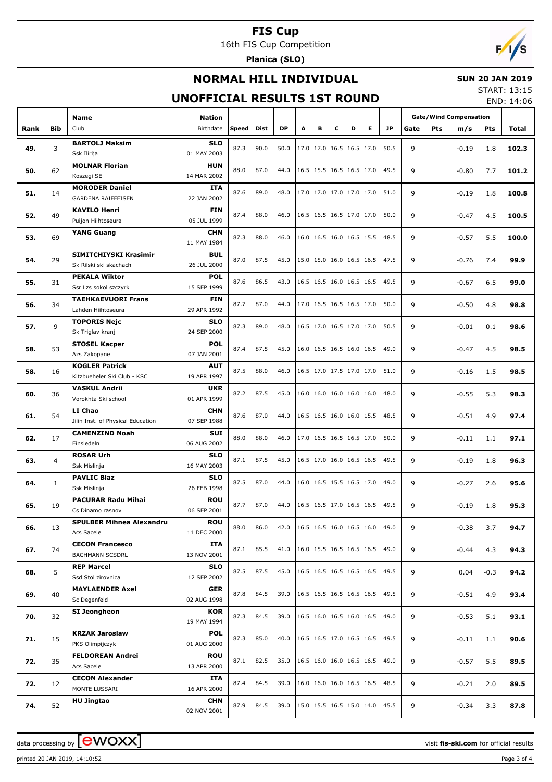16th FIS Cup Competition

**Planica (SLO)**

# $F/1/s$

## **NORMAL HILL INDIVIDUAL**

### **SUN 20 JAN 2019**

## **UNOFFICIAL RESULTS 1ST ROUND**

START: 13:15 END: 14:06

|      |              | <b>Name</b>                                         | <b>Nation</b>             |       |      |           |   |   |   |                          |           |                    | <b>Gate/Wind Compensation</b> |        |       |
|------|--------------|-----------------------------------------------------|---------------------------|-------|------|-----------|---|---|---|--------------------------|-----------|--------------------|-------------------------------|--------|-------|
| Rank | <b>Bib</b>   | Club                                                | Birthdate                 | Speed | Dist | <b>DP</b> | A | в | C | D<br>Е                   | <b>JP</b> | <b>Pts</b><br>Gate | m/s                           | Pts    | Total |
|      |              | <b>BARTOLJ Maksim</b>                               | <b>SLO</b>                |       |      |           |   |   |   |                          |           |                    |                               |        |       |
| 49.  | 3            | Ssk Ilirija                                         | 01 MAY 2003               | 87.3  | 90.0 | 50.0      |   |   |   | 17.0 17.0 16.5 16.5 17.0 | 50.5      | 9                  | $-0.19$                       | 1.8    | 102.3 |
|      |              | <b>MOLNAR Florian</b>                               | <b>HUN</b>                |       |      |           |   |   |   |                          |           |                    |                               |        |       |
| 50.  | 62           | Koszegi SE                                          | 14 MAR 2002               | 88.0  | 87.0 | 44.0      |   |   |   | 16.5 15.5 16.5 16.5 17.0 | 49.5      | 9                  | $-0.80$                       | 7.7    | 101.2 |
| 51.  | 14           | <b>MORODER Daniel</b>                               | <b>ITA</b>                | 87.6  | 89.0 | 48.0      |   |   |   | 17.0 17.0 17.0 17.0 17.0 | 51.0      | 9                  | $-0.19$                       | 1.8    | 100.8 |
|      |              | <b>GARDENA RAIFFEISEN</b>                           | 22 JAN 2002               |       |      |           |   |   |   |                          |           |                    |                               |        |       |
| 52.  | 49           | <b>KAVILO Henri</b>                                 | <b>FIN</b>                | 87.4  | 88.0 | 46.0      |   |   |   | 16.5 16.5 16.5 17.0 17.0 | 50.0      | 9                  | $-0.47$                       | 4.5    | 100.5 |
|      |              | Puijon Hiihtoseura                                  | 05 JUL 1999               |       |      |           |   |   |   |                          |           |                    |                               |        |       |
| 53.  | 69           | <b>YANG Guang</b>                                   | <b>CHN</b><br>11 MAY 1984 | 87.3  | 88.0 | 46.0      |   |   |   | 16.0 16.5 16.0 16.5 15.5 | 48.5      | 9                  | $-0.57$                       | 5.5    | 100.0 |
|      |              | SIMITCHIYSKI Krasimir                               | <b>BUL</b>                |       |      |           |   |   |   |                          |           |                    |                               |        |       |
| 54.  | 29           | Sk Rilski ski skachach                              | 26 JUL 2000               | 87.0  | 87.5 | 45.0      |   |   |   | 15.0 15.0 16.0 16.5 16.5 | 47.5      | 9                  | $-0.76$                       | 7.4    | 99.9  |
|      |              | <b>PEKALA Wiktor</b>                                | <b>POL</b>                |       |      |           |   |   |   |                          |           |                    |                               |        |       |
| 55.  | 31           | Ssr Lzs sokol szczyrk                               | 15 SEP 1999               | 87.6  | 86.5 | 43.0      |   |   |   | 16.5 16.5 16.0 16.5 16.5 | 49.5      | 9                  | $-0.67$                       | 6.5    | 99.0  |
|      |              | <b>TAEHKAEVUORI Frans</b>                           | <b>FIN</b>                |       |      |           |   |   |   |                          |           |                    |                               |        |       |
| 56.  | 34           | Lahden Hiihtoseura                                  | 29 APR 1992               | 87.7  | 87.0 | 44.0      |   |   |   | 17.0 16.5 16.5 16.5 17.0 | 50.0      | 9                  | $-0.50$                       | 4.8    | 98.8  |
| 57.  | 9            | <b>TOPORIS Nejc</b>                                 | <b>SLO</b>                | 87.3  | 89.0 | 48.0      |   |   |   | 16.5 17.0 16.5 17.0 17.0 | 50.5      | 9                  | $-0.01$                       | 0.1    | 98.6  |
|      |              | Sk Triglav kranj                                    | 24 SEP 2000               |       |      |           |   |   |   |                          |           |                    |                               |        |       |
| 58.  | 53           | <b>STOSEL Kacper</b>                                | <b>POL</b>                | 87.4  | 87.5 | 45.0      |   |   |   | 16.0 16.5 16.5 16.0 16.5 | 49.0      | 9                  | $-0.47$                       | 4.5    | 98.5  |
|      |              | Azs Zakopane                                        | 07 JAN 2001               |       |      |           |   |   |   |                          |           |                    |                               |        |       |
| 58.  | 16           | <b>KOGLER Patrick</b>                               | <b>AUT</b>                | 87.5  | 88.0 | 46.0      |   |   |   | 16.5 17.0 17.5 17.0 17.0 | 51.0      | 9                  | $-0.16$                       | 1.5    | 98.5  |
|      |              | Kitzbueheler Ski Club - KSC<br><b>VASKUL Andrii</b> | 19 APR 1997<br><b>UKR</b> |       |      |           |   |   |   |                          |           |                    |                               |        |       |
| 60.  | 36           | Vorokhta Ski school                                 | 01 APR 1999               | 87.2  | 87.5 | 45.0      |   |   |   | 16.0 16.0 16.0 16.0 16.0 | 48.0      | 9                  | $-0.55$                       | 5.3    | 98.3  |
|      |              | LI Chao                                             | <b>CHN</b>                |       |      |           |   |   |   |                          |           |                    |                               |        |       |
| 61.  | 54           | Jilin Inst. of Physical Education                   | 07 SEP 1988               | 87.6  | 87.0 | 44.0      |   |   |   | 16.5 16.5 16.0 16.0 15.5 | 48.5      | 9                  | $-0.51$                       | 4.9    | 97.4  |
|      |              | <b>CAMENZIND Noah</b>                               | <b>SUI</b>                |       |      |           |   |   |   |                          |           |                    |                               |        |       |
| 62.  | 17           | Einsiedeln                                          | 06 AUG 2002               | 88.0  | 88.0 | 46.0      |   |   |   | 17.0 16.5 16.5 16.5 17.0 | 50.0      | 9                  | $-0.11$                       | 1.1    | 97.1  |
| 63.  | 4            | <b>ROSAR Urh</b>                                    | <b>SLO</b>                | 87.1  | 87.5 | 45.0      |   |   |   | 16.5 17.0 16.0 16.5 16.5 | 49.5      | 9                  | $-0.19$                       | 1.8    | 96.3  |
|      |              | Ssk Mislinja                                        | 16 MAY 2003               |       |      |           |   |   |   |                          |           |                    |                               |        |       |
| 64.  | $\mathbf{1}$ | <b>PAVLIC Blaz</b>                                  | <b>SLO</b>                | 87.5  | 87.0 | 44.0      |   |   |   | 16.0 16.5 15.5 16.5 17.0 | 49.0      | 9                  | $-0.27$                       | 2.6    | 95.6  |
|      |              | Ssk Mislinja                                        | 26 FEB 1998               |       |      |           |   |   |   |                          |           |                    |                               |        |       |
| 65.  | 19           | <b>PACURAR Radu Mihai</b>                           | <b>ROU</b>                | 87.7  | 87.0 | 44.0      |   |   |   | 16.5 16.5 17.0 16.5 16.5 | 49.5      | 9                  | $-0.19$                       | 1.8    | 95.3  |
|      |              | Cs Dinamo rasnov                                    | 06 SEP 2001               |       |      |           |   |   |   |                          |           |                    |                               |        |       |
| 66.  | 13           | <b>SPULBER Mihnea Alexandru</b><br>Acs Sacele       | ROU<br>11 DEC 2000        | 88.0  | 86.0 | 42.0      |   |   |   | 16.5 16.5 16.0 16.5 16.0 | 49.0      | 9                  | $-0.38$                       | 3.7    | 94.7  |
|      |              | <b>CECON Francesco</b>                              | <b>ITA</b>                |       |      |           |   |   |   |                          |           |                    |                               |        |       |
| 67.  | 74           | <b>BACHMANN SCSDRL</b>                              | 13 NOV 2001               | 87.1  | 85.5 | 41.0      |   |   |   | 16.0 15.5 16.5 16.5 16.5 | 49.0      | 9                  | $-0.44$                       | 4.3    | 94.3  |
|      |              | <b>REP Marcel</b>                                   | <b>SLO</b>                |       |      |           |   |   |   |                          |           |                    |                               |        |       |
| 68.  | 5            | Ssd Stol zirovnica                                  | 12 SEP 2002               | 87.5  | 87.5 | 45.0      |   |   |   | 16.5 16.5 16.5 16.5 16.5 | 49.5      | 9                  | 0.04                          | $-0.3$ | 94.2  |
| 69.  | 40           | <b>MAYLAENDER Axel</b>                              | <b>GER</b>                | 87.8  | 84.5 | 39.0      |   |   |   | 16.5 16.5 16.5 16.5 16.5 | 49.5      | 9                  |                               |        | 93.4  |
|      |              | Sc Degenfeld                                        | 02 AUG 1998               |       |      |           |   |   |   |                          |           |                    | $-0.51$                       | 4.9    |       |
| 70.  | 32           | SI Jeongheon                                        | <b>KOR</b>                | 87.3  | 84.5 | 39.0      |   |   |   | 16.5 16.0 16.5 16.0 16.5 | 49.0      | 9                  | $-0.53$                       | 5.1    | 93.1  |
|      |              |                                                     | 19 MAY 1994               |       |      |           |   |   |   |                          |           |                    |                               |        |       |
| 71.  | 15           | <b>KRZAK Jaroslaw</b>                               | <b>POL</b>                | 87.3  | 85.0 | 40.0      |   |   |   | 16.5 16.5 17.0 16.5 16.5 | 49.5      | 9                  | $-0.11$                       | 1.1    | 90.6  |
|      |              | PKS Olimpijczyk                                     | 01 AUG 2000               |       |      |           |   |   |   |                          |           |                    |                               |        |       |
| 72.  | 35           | <b>FELDOREAN Andrei</b><br>Acs Sacele               | <b>ROU</b><br>13 APR 2000 | 87.1  | 82.5 | 35.0      |   |   |   | 16.5 16.0 16.0 16.5 16.5 | 49.0      | 9                  | $-0.57$                       | 5.5    | 89.5  |
|      |              | <b>CECON Alexander</b>                              | ITA                       |       |      |           |   |   |   |                          |           |                    |                               |        |       |
| 72.  | 12           | MONTE LUSSARI                                       | 16 APR 2000               | 87.4  | 84.5 | 39.0      |   |   |   | 16.0 16.0 16.0 16.5 16.5 | 48.5      | 9                  | $-0.21$                       | 2.0    | 89.5  |
|      |              | <b>HU Jingtao</b>                                   | <b>CHN</b>                |       |      |           |   |   |   |                          |           |                    |                               |        |       |
| 74.  | 52           |                                                     | 02 NOV 2001               | 87.9  | 84.5 | 39.0      |   |   |   | 15.0 15.5 16.5 15.0 14.0 | 45.5      | 9                  | $-0.34$                       | 3.3    | 87.8  |

printed 20 JAN 2019, 14:10:52 Page 3 of 4

data processing by **CWOXX**  $\blacksquare$